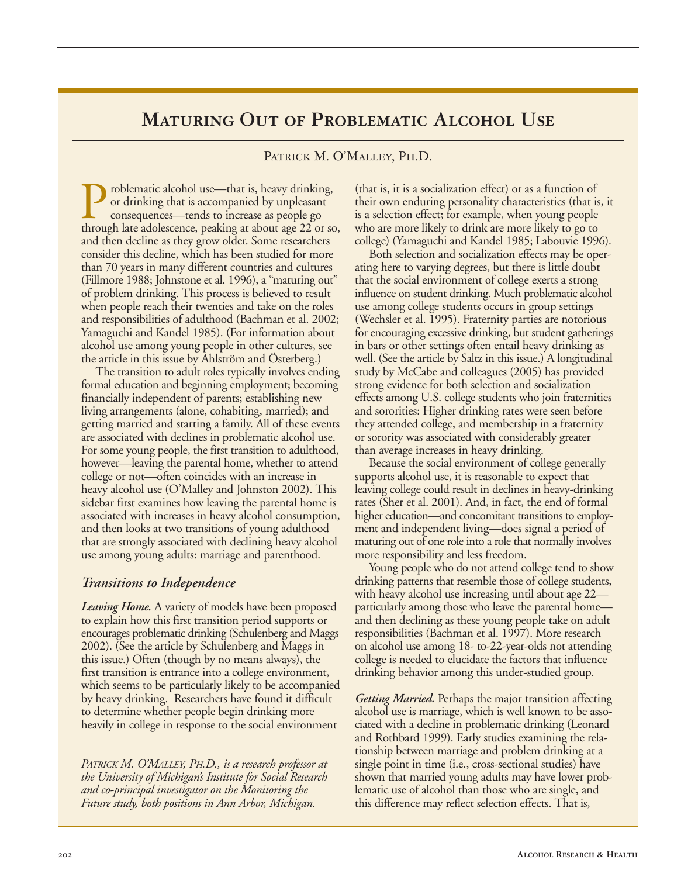# **Maturing Out of Problematic Alcohol Use**

#### Patrick M. O'Malley, Ph.D.

**Problematic alcohol use—that is, heavy drinking,** or drinking that is accompanied by unpleasant consequences—tends to increase as people go through late adolescence, peaking at about age 22 or so, or drinking that is accompanied by unpleasant consequences—tends to increase as people go and then decline as they grow older. Some researchers consider this decline, which has been studied for more than 70 years in many different countries and cultures (Fillmore 1988; Johnstone et al. 1996), a "maturing out" of problem drinking. This process is believed to result when people reach their twenties and take on the roles and responsibilities of adulthood (Bachman et al. 2002; Yamaguchi and Kandel 1985). (For information about alcohol use among young people in other cultures, see the article in this issue by Ahlström and Österberg.)

The transition to adult roles typically involves ending formal education and beginning employment; becoming financially independent of parents; establishing new living arrangements (alone, cohabiting, married); and getting married and starting a family. All of these events are associated with declines in problematic alcohol use. For some young people, the first transition to adulthood, however—leaving the parental home, whether to attend college or not—often coincides with an increase in heavy alcohol use (O'Malley and Johnston 2002). This sidebar first examines how leaving the parental home is associated with increases in heavy alcohol consumption, and then looks at two transitions of young adulthood that are strongly associated with declining heavy alcohol use among young adults: marriage and parenthood.

#### *Transitions to Independence*

*Leaving Home.* A variety of models have been proposed to explain how this first transition period supports or encourages problematic drinking (Schulenberg and Maggs 2002). (See the article by Schulenberg and Maggs in this issue.) Often (though by no means always), the first transition is entrance into a college environment, which seems to be particularly likely to be accompanied by heavy drinking. Researchers have found it difficult to determine whether people begin drinking more heavily in college in response to the social environment

*PATRICK M. O'MALLEY, PH.D., is a research professor at the University of Michigan's Institute for Social Research and co-principal investigator on the Monitoring the Future study, both positions in Ann Arbor, Michigan.* 

(that is, it is a socialization effect) or as a function of their own enduring personality characteristics (that is, it is a selection effect; for example, when young people who are more likely to drink are more likely to go to college) (Yamaguchi and Kandel 1985; Labouvie 1996).

Both selection and socialization effects may be operating here to varying degrees, but there is little doubt that the social environment of college exerts a strong influence on student drinking. Much problematic alcohol use among college students occurs in group settings (Wechsler et al. 1995). Fraternity parties are notorious for encouraging excessive drinking, but student gatherings in bars or other settings often entail heavy drinking as well. (See the article by Saltz in this issue.) A longitudinal study by McCabe and colleagues (2005) has provided strong evidence for both selection and socialization effects among U.S. college students who join fraternities and sororities: Higher drinking rates were seen before they attended college, and membership in a fraternity or sorority was associated with considerably greater than average increases in heavy drinking.

Because the social environment of college generally supports alcohol use, it is reasonable to expect that leaving college could result in declines in heavy-drinking rates (Sher et al. 2001). And, in fact, the end of formal higher education—and concomitant transitions to employment and independent living—does signal a period of maturing out of one role into a role that normally involves more responsibility and less freedom.

Young people who do not attend college tend to show drinking patterns that resemble those of college students, with heavy alcohol use increasing until about age 22 particularly among those who leave the parental home and then declining as these young people take on adult responsibilities (Bachman et al. 1997). More research on alcohol use among 18- to-22-year-olds not attending college is needed to elucidate the factors that influence drinking behavior among this under-studied group.

*Getting Married.* Perhaps the major transition affecting alcohol use is marriage, which is well known to be associated with a decline in problematic drinking (Leonard and Rothbard 1999). Early studies examining the relationship between marriage and problem drinking at a single point in time (i.e., cross-sectional studies) have shown that married young adults may have lower problematic use of alcohol than those who are single, and this difference may reflect selection effects. That is,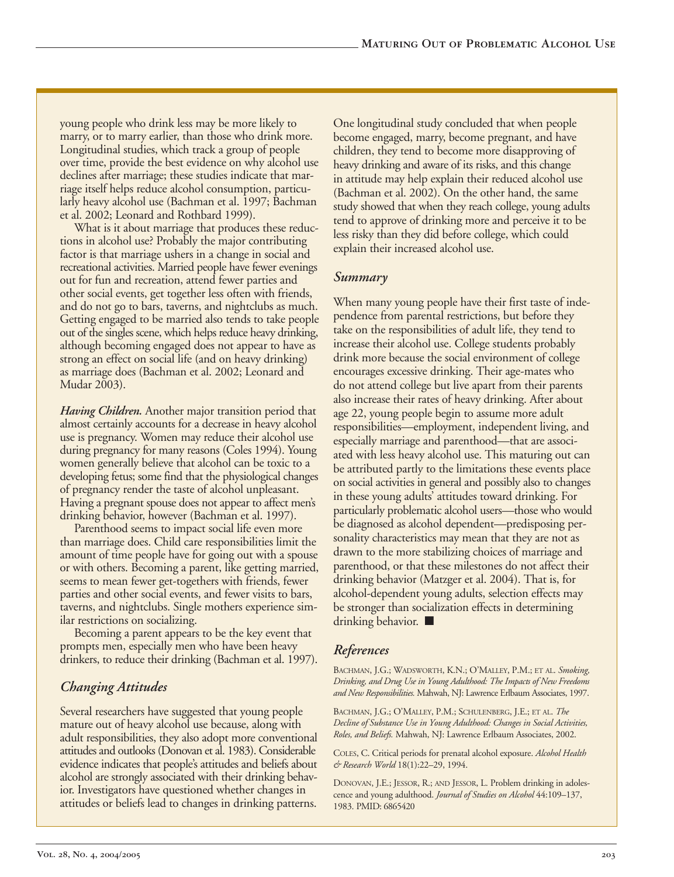young people who drink less may be more likely to marry, or to marry earlier, than those who drink more. Longitudinal studies, which track a group of people over time, provide the best evidence on why alcohol use declines after marriage; these studies indicate that marriage itself helps reduce alcohol consumption, particularly heavy alcohol use (Bachman et al. 1997; Bachman et al. 2002; Leonard and Rothbard 1999).

What is it about marriage that produces these reductions in alcohol use? Probably the major contributing factor is that marriage ushers in a change in social and recreational activities. Married people have fewer evenings out for fun and recreation, attend fewer parties and other social events, get together less often with friends, and do not go to bars, taverns, and nightclubs as much. Getting engaged to be married also tends to take people out of the singles scene, which helps reduce heavy drinking, although becoming engaged does not appear to have as strong an effect on social life (and on heavy drinking) as marriage does (Bachman et al. 2002; Leonard and Mudar 2003).

*Having Children.* Another major transition period that almost certainly accounts for a decrease in heavy alcohol use is pregnancy. Women may reduce their alcohol use during pregnancy for many reasons (Coles 1994). Young women generally believe that alcohol can be toxic to a developing fetus; some find that the physiological changes of pregnancy render the taste of alcohol unpleasant. Having a pregnant spouse does not appear to affect men's drinking behavior, however (Bachman et al. 1997).

Parenthood seems to impact social life even more than marriage does. Child care responsibilities limit the amount of time people have for going out with a spouse or with others. Becoming a parent, like getting married, seems to mean fewer get-togethers with friends, fewer parties and other social events, and fewer visits to bars, taverns, and nightclubs. Single mothers experience similar restrictions on socializing.

Becoming a parent appears to be the key event that prompts men, especially men who have been heavy drinkers, to reduce their drinking (Bachman et al. 1997).

# *Changing Attitudes*

Several researchers have suggested that young people mature out of heavy alcohol use because, along with adult responsibilities, they also adopt more conventional attitudes and outlooks (Donovan et al. 1983). Considerable evidence indicates that people's attitudes and beliefs about alcohol are strongly associated with their drinking behavior. Investigators have questioned whether changes in attitudes or beliefs lead to changes in drinking patterns.

One longitudinal study concluded that when people become engaged, marry, become pregnant, and have children, they tend to become more disapproving of heavy drinking and aware of its risks, and this change in attitude may help explain their reduced alcohol use (Bachman et al. 2002). On the other hand, the same study showed that when they reach college, young adults tend to approve of drinking more and perceive it to be less risky than they did before college, which could explain their increased alcohol use.

### *Summary*

When many young people have their first taste of independence from parental restrictions, but before they take on the responsibilities of adult life, they tend to increase their alcohol use. College students probably drink more because the social environment of college encourages excessive drinking. Their age-mates who do not attend college but live apart from their parents also increase their rates of heavy drinking. After about age 22, young people begin to assume more adult responsibilities—employment, independent living, and especially marriage and parenthood—that are associated with less heavy alcohol use. This maturing out can be attributed partly to the limitations these events place on social activities in general and possibly also to changes in these young adults' attitudes toward drinking. For particularly problematic alcohol users—those who would be diagnosed as alcohol dependent—predisposing personality characteristics may mean that they are not as drawn to the more stabilizing choices of marriage and parenthood, or that these milestones do not affect their drinking behavior (Matzger et al. 2004). That is, for alcohol-dependent young adults, selection effects may be stronger than socialization effects in determining drinking behavior. ■

# *References*

BACHMAN, J.G.; WADSWORTH, K.N.; O'MALLEY, P.M.; ET AL. *Smoking, Drinking, and Drug Use in Young Adulthood: The Impacts of New Freedoms and New Responsibilities.* Mahwah, NJ: Lawrence Erlbaum Associates, 1997.

BACHMAN, J.G.; O'MALLEY, P.M.; SCHULENBERG, J.E.; ET AL. *The Decline of Substance Use in Young Adulthood: Changes in Social Activities, Roles, and Beliefs.* Mahwah, NJ: Lawrence Erlbaum Associates, 2002.

COLES, C. Critical periods for prenatal alcohol exposure. *Alcohol Health & Research World* 18(1):22–29, 1994.

DONOVAN, J.E.; JESSOR, R.; AND JESSOR, L. Problem drinking in adolescence and young adulthood. *Journal of Studies on Alcohol* 44:109–137, 1983. PMID: 6865420